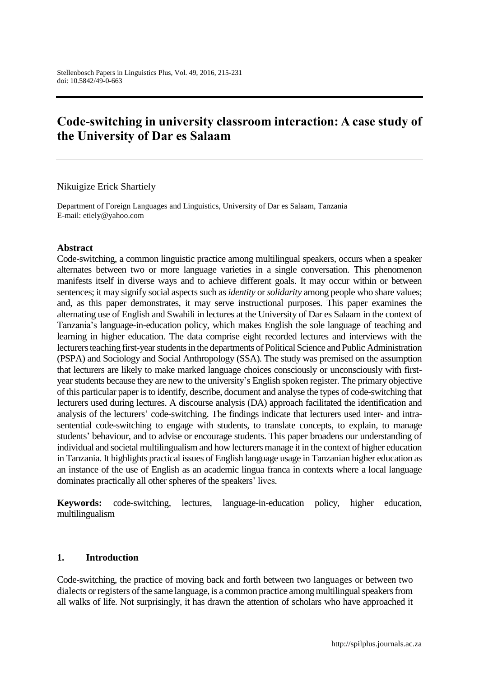# **Code-switching in university classroom interaction: A case study of the University of Dar es Salaam**

Nikuigize Erick Shartiely

Department of Foreign Languages and Linguistics, University of Dar es Salaam, Tanzania E-mail: etiely@yahoo.com

#### **Abstract**

Code-switching, a common linguistic practice among multilingual speakers, occurs when a speaker alternates between two or more language varieties in a single conversation. This phenomenon manifests itself in diverse ways and to achieve different goals. It may occur within or between sentences; it may signify social aspects such as *identity* or *solidarity* among people who share values; and, as this paper demonstrates, it may serve instructional purposes. This paper examines the alternating use of English and Swahili in lectures at the University of Dar es Salaam in the context of Tanzania's language-in-education policy, which makes English the sole language of teaching and learning in higher education. The data comprise eight recorded lectures and interviews with the lecturers teaching first-year students in the departments of Political Science and Public Administration (PSPA) and Sociology and Social Anthropology (SSA). The study was premised on the assumption that lecturers are likely to make marked language choices consciously or unconsciously with firstyear students because they are new to the university's English spoken register. The primary objective of this particular paper is to identify, describe, document and analyse the types of code-switching that lecturers used during lectures. A discourse analysis (DA) approach facilitated the identification and analysis of the lecturers' code-switching. The findings indicate that lecturers used inter- and intrasentential code-switching to engage with students, to translate concepts, to explain, to manage students' behaviour, and to advise or encourage students. This paper broadens our understanding of individual and societal multilingualism and how lecturers manage it in the context of higher education in Tanzania. It highlights practical issues of English language usage in Tanzanian higher education as an instance of the use of English as an academic lingua franca in contexts where a local language dominates practically all other spheres of the speakers' lives.

**Keywords:** code-switching, lectures, language-in-education policy, higher education, multilingualism

#### **1. Introduction**

Code-switching, the practice of moving back and forth between two [languages](http://grammar.about.com/od/il/g/languageterm.htm) or between two [dialects](http://grammar.about.com/od/d/g/dialectterm.htm) o[r registers](http://grammar.about.com/od/rs/g/registerterm.htm) of the same language, is a common practice among multilingual speakers from all walks of life. Not surprisingly, it has drawn the attention of scholars who have approached it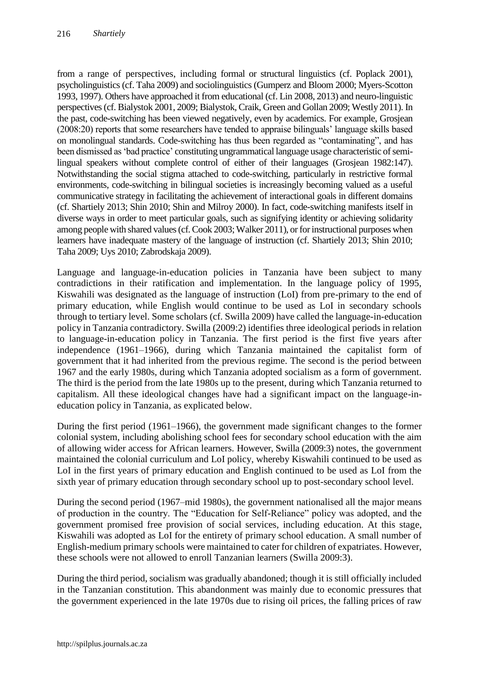from a range of perspectives, including formal or structural linguistics (cf. Poplack 2001), psycholinguistics (cf. Taha 2009) and sociolinguistics (Gumperz and Bloom 2000; Myers-Scotton 1993, 1997). Others have approached it from educational (cf. Lin 2008, 2013) and neuro-linguistic perspectives (cf. Bialystok 2001, 2009; Bialystok, Craik, Green and Gollan 2009; Westly 2011). In the past, code-switching has been viewed negatively, even by academics. For example, Grosjean (2008:20) reports that some researchers have tended to appraise bilinguals' language skills based on monolingual standards. Code-switching has thus been regarded as "contaminating", and has been dismissed as 'bad practice' constituting ungrammatical language usage characteristic of semilingual speakers without complete control of either of their languages (Grosjean 1982:147). Notwithstanding the social stigma attached to code-switching, particularly in restrictive formal environments, code-switching in bilingual societies is increasingly becoming valued as a useful communicative strategy in facilitating the achievement of interactional goals in different domains (cf. Shartiely 2013; Shin 2010; Shin and Milroy 2000). In fact, code-switching manifests itself in diverse ways in order to meet particular goals, such as signifying identity or achieving solidarity among people with shared values (cf. Cook 2003; Walker 2011), or for instructional purposes when learners have inadequate mastery of the language of instruction (cf. Shartiely 2013; Shin 2010; Taha 2009; Uys 2010[; Zabrodskaja 2009\)](../../../moostendorp/AppData/Local/Temp/AppData/Local/Temp/embyaa/AppData/Documents%20and%20Settings/ca5/Local%20Settings/Temporary%20Internet%20Files/Content.Outlook/AppData/Roaming/Microsoft/AppData).

Language and language-in-education policies in Tanzania have been subject to many contradictions in their ratification and implementation. In the language policy of 1995, Kiswahili was designated as the language of instruction (LoI) from pre-primary to the end of primary education, while English would continue to be used as LoI in secondary schools through to tertiary level. Some scholars (cf. Swilla 2009) have called the language-in-education policy in Tanzania contradictory. Swilla (2009:2) identifies three ideological periods in relation to language-in-education policy in Tanzania. The first period is the first five years after independence (1961–1966), during which Tanzania maintained the capitalist form of government that it had inherited from the previous regime. The second is the period between 1967 and the early 1980s, during which Tanzania adopted socialism as a form of government. The third is the period from the late 1980s up to the present, during which Tanzania returned to capitalism. All these ideological changes have had a significant impact on the language-ineducation policy in Tanzania, as explicated below.

During the first period (1961–1966), the government made significant changes to the former colonial system, including abolishing school fees for secondary school education with the aim of allowing wider access for African learners. However, Swilla (2009:3) notes, the government maintained the colonial curriculum and LoI policy, whereby Kiswahili continued to be used as LoI in the first years of primary education and English continued to be used as LoI from the sixth year of primary education through secondary school up to post-secondary school level.

During the second period (1967–mid 1980s), the government nationalised all the major means of production in the country. The "Education for Self-Reliance" policy was adopted, and the government promised free provision of social services, including education. At this stage, Kiswahili was adopted as LoI for the entirety of primary school education. A small number of English-medium primary schools were maintained to cater for children of expatriates. However, these schools were not allowed to enroll Tanzanian learners (Swilla 2009:3).

During the third period, socialism was gradually abandoned; though it is still officially included in the Tanzanian constitution. This abandonment was mainly due to economic pressures that the government experienced in the late 1970s due to rising oil prices, the falling prices of raw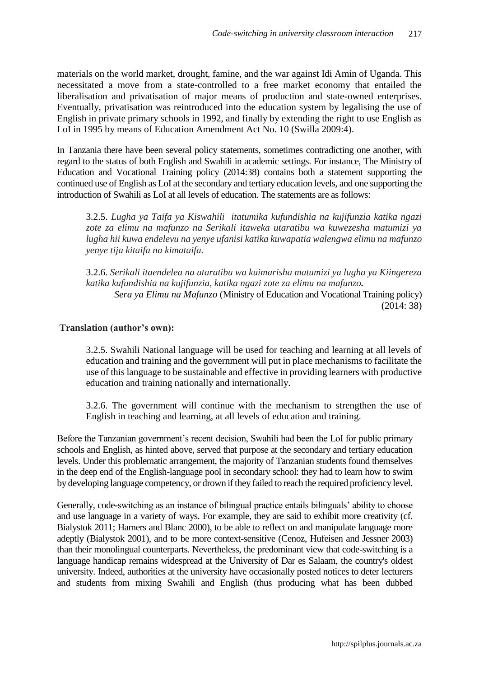materials on the world market, drought, famine, and the war against Idi Amin of Uganda. This necessitated a move from a state-controlled to a free market economy that entailed the liberalisation and privatisation of major means of production and state-owned enterprises. Eventually, privatisation was reintroduced into the education system by legalising the use of English in private primary schools in 1992, and finally by extending the right to use English as LoI in 1995 by means of Education Amendment Act No. 10 (Swilla 2009:4).

In Tanzania there have been several policy statements, sometimes contradicting one another, with regard to the status of both English and Swahili in academic settings. For instance, The Ministry of Education and Vocational Training policy (2014:38) contains both a statement supporting the continued use of English as LoI at the secondary and tertiary education levels, and one supporting the introduction of Swahili as LoI at all levels of education. The statements are as follows:

3.2.5. *Lugha ya Taifa ya Kiswahili itatumika kufundishia na kujifunzia katika ngazi zote za elimu na mafunzo na Serikali itaweka utaratibu wa kuwezesha matumizi ya lugha hii kuwa endelevu na yenye ufanisi katika kuwapatia walengwa elimu na mafunzo yenye tija kitaifa na kimataifa.*

3.2.6. *Serikali itaendelea na utaratibu wa kuimarisha matumizi ya lugha ya Kiingereza katika kufundishia na kujifunzia, katika ngazi zote za elimu na mafunzo. Sera ya Elimu na Mafunzo* (Ministry of Education and Vocational Training policy)

## **Translation (author's own):**

3.2.5. Swahili National language will be used for teaching and learning at all levels of education and training and the government will put in place mechanisms to facilitate the use of this language to be sustainable and effective in providing learners with productive education and training nationally and internationally.

3.2.6. The government will continue with the mechanism to strengthen the use of English in teaching and learning, at all levels of education and training.

Before the Tanzanian government's recent decision, Swahili had been the LoI for public primary schools and English, as hinted above, served that purpose at the secondary and tertiary education levels. Under this problematic arrangement, the majority of Tanzanian students found themselves in the deep end of the English-language pool in secondary school: they had to learn how to swim by developing language competency, or drown if they failed to reach the required proficiency level.

Generally, code-switching as an instance of bilingual practice entails bilinguals' ability to choose and use language in a variety of ways. For example, they are said to exhibit more creativity (cf. Bialystok 2011; Hamers and Blanc 2000), to be able to reflect on and manipulate language more adeptly (Bialystok 2001), and to be more context-sensitive (Cenoz, Hufeisen and Jessner 2003) than their monolingual counterparts. Nevertheless, the predominant view that code-switching is a language handicap remains widespread at the University of Dar es Salaam, the country's oldest university. Indeed, authorities at the university have occasionally posted notices to deter lecturers and students from mixing Swahili and English (thus producing what has been dubbed

(2014: 38)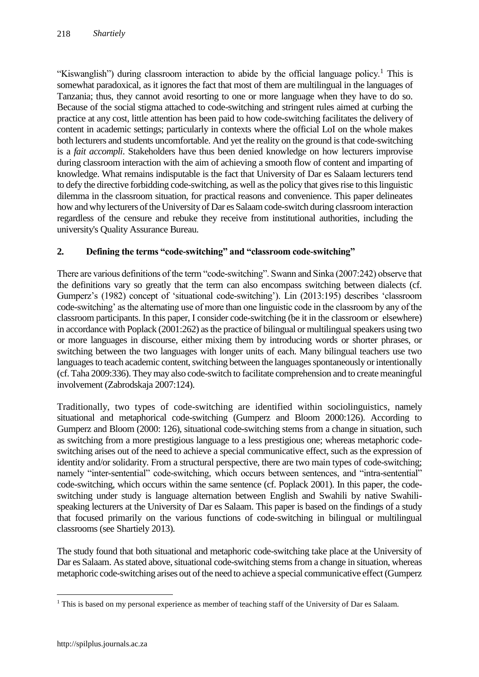"Kiswanglish") during classroom interaction to abide by the official language policy.<sup>1</sup> This is somewhat paradoxical, as it ignores the fact that most of them are multilingual in the languages of Tanzania; thus, they cannot avoid resorting to one or more language when they have to do so. Because of the social stigma attached to code-switching and stringent rules aimed at curbing the practice at any cost, little attention has been paid to how code-switching facilitates the delivery of content in academic settings; particularly in contexts where the official LoI on the whole makes both lecturers and students uncomfortable. And yet the reality on the ground is that code-switching is a *fait accompli*. Stakeholders have thus been denied knowledge on how lecturers improvise during classroom interaction with the aim of achieving a smooth flow of content and imparting of knowledge. What remains indisputable is the fact that University of Dar es Salaam lecturers tend to defy the directive forbidding code-switching, as well as the policy that gives rise to this linguistic dilemma in the classroom situation, for practical reasons and convenience. This paper delineates how and why lecturers of the University of Dar es Salaam code-switch during classroom interaction regardless of the censure and rebuke they receive from institutional authorities, including the university's Quality Assurance Bureau.

## **2. Defining the terms "code-switching" and "classroom code-switching"**

There are various definitions of the term "code-switching". Swann and Sinka (2007:242) observe that the definitions vary so greatly that the term can also encompass switching between dialects (cf. Gumperz's (1982) concept of 'situational code-switching'). Lin (2013:195) describes 'classroom code-switching' as the alternating use of more than one linguistic code in the classroom by any of the classroom participants. In this paper, I consider code-switching (be it in the classroom or elsewhere) in accordance with Poplack (2001:262) as the practice of bilingual or multilingual speakers using two or more languages in discourse, either mixing them by introducing words or shorter phrases, or switching between the two languages with longer units of each. Many bilingual teachers use two languages to teach academic content, switching between the languages spontaneously or intentionally (cf. Taha 2009:336). They may also code-switch to facilitate comprehension and to create meaningful involvement (Zabrodskaja 2007:124).

Traditionally, two types of code-switching are identified within sociolinguistics, namely situational and metaphorical code-switching (Gumperz and Bloom 2000:126). According to Gumperz and Bloom (2000: 126), situational code-switching stems from a change in situation, such as switching from a more prestigious language to a less prestigious one; whereas metaphoric codeswitching arises out of the need to achieve a special communicative effect, such as the expression of identity and/or solidarity. From a structural perspective, there are two main types of code-switching; namely "inter-sentential" code-switching, which occurs between sentences, and "intra-sentential" code-switching, which occurs within the same sentence (cf. Poplack 2001). In this paper, the codeswitching under study is language alternation between English and Swahili by native Swahilispeaking lecturers at the University of Dar es Salaam. This paper is based on the findings of a study that focused primarily on the various functions of code-switching in bilingual or multilingual classrooms (see Shartiely 2013).

The study found that both situational and metaphoric code-switching take place at the University of Dar es Salaam. As stated above, situational code-switching stems from a change in situation, whereas metaphoric code-switching arises out of the need to achieve a special communicative effect (Gumperz

 $\overline{a}$ <sup>1</sup> This is based on my personal experience as member of teaching staff of the University of Dar es Salaam.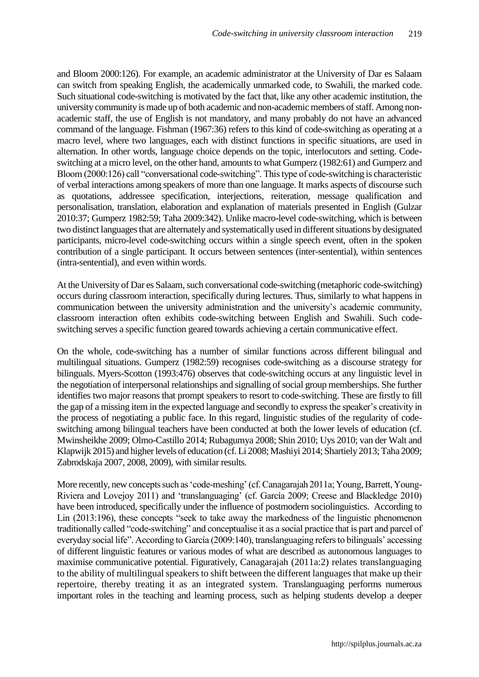and Bloom 2000:126). For example, an academic administrator at the University of Dar es Salaam can switch from speaking English, the academically unmarked code, to Swahili, the marked code. Such situational code-switching is motivated by the fact that, like any other academic institution, the university community is made up of both academic and non-academic members of staff. Among nonacademic staff, the use of English is not mandatory, and many probably do not have an advanced command of the language. Fishman (1967:36) refers to this kind of code-switching as operating at a macro level, where two languages, each with distinct functions in specific situations, are used in alternation. In other words, language choice depends on the topic, interlocutors and setting. Codeswitching at a micro level, on the other hand, amounts to what Gumperz (1982:61) and Gumperz and Bloom (2000:126) call "conversational code-switching". This type of code-switching is characteristic of verbal interactions among speakers of more than one language. It marks aspects of discourse such as quotations, addressee specification, interjections, reiteration, message qualification and personalisation, translation, elaboration and explanation of materials presented in English (Gulzar 2010:37; Gumperz [1982:](../../../moostendorp/AppData/Local/Temp/AppData/Local/Temp/embyaa/AppData/user/Documents%20and%20Settings/ca5/Local%20Settings/Temporary%20Internet%20Files/Content.Outlook/AppData/Roaming/Microsoft/AppData)59; Taha 2009:342). Unlike macro-level code-switching, which is between two distinct languages that are alternately and systematically used in different situations by designated participants, micro-level code-switching occurs within a single speech event, often in the spoken contribution of a single participant. It occurs between sentences (inter-sentential), within sentences (intra-sentential), and even within words.

At the University of Dar es Salaam, such conversational code-switching (metaphoric code-switching) occurs during classroom interaction, specifically during lectures. Thus, similarly to what happens in communication between the university administration and the university's academic community, classroom interaction often exhibits code-switching between English and Swahili. Such codeswitching serves a specific function geared towards achieving a certain communicative effect.

On the whole, code-switching has a number of similar functions across different bilingual and multilingual situations. Gumperz [\(1982:](../../../moostendorp/AppData/Local/Temp/AppData/Local/Temp/embyaa/AppData/user/Documents%20and%20Settings/ca5/Local%20Settings/Temporary%20Internet%20Files/Content.Outlook/AppData/Roaming/Microsoft/AppData)59) recognises code-switching as a discourse strategy for bilinguals. Myers-Scotton (1993:476) observes that code-switching occurs at any linguistic level in the negotiation of interpersonal relationships and signalling of social group memberships. She further identifies two major reasons that prompt speakers to resort to code-switching. These are firstly to fill the gap of a missing item in the expected language and secondly to express the speaker's creativity in the process of negotiating a public face. In this regard, linguistic studies of the regularity of codeswitching among bilingual teachers have been conducted at both the lower levels of education (cf. Mwinsheikhe 2009; Olmo-Castillo 2014; Rubagumya 2008; Shin 2010; Uys 2010; van der Walt and Klapwijk 2015) and higher levels of education (cf. Li 2008; Mashiyi 2014; Shartiely 2013; Taha 2009; Zabrodskaja 2007, 2008, 2009), with similar results.

More recently, new concepts such as 'code-meshing' (cf. Canagarajah 2011a; Young, Barrett, Young-Riviera and Lovejoy 2011) and 'translanguaging' (cf. García 2009; Creese and Blackledge 2010) have been introduced, specifically under the influence of postmodern sociolinguistics. According to Lin (2013:196), these concepts "seek to take away the markedness of the linguistic phenomenon traditionally called "code-switching" and conceptualise it as a social practice that is part and parcel of everyday social life". According to García (2009:140), translanguaging refers to bilinguals' accessing of different linguistic features or various modes of what are described as autonomous languages to maximise communicative potential. Figuratively, Canagarajah (2011a:2) relates translanguaging to the ability of multilingual speakers to shift between the different languages that make up their repertoire, thereby treating it as an integrated system. Translanguaging performs numerous important roles in the teaching and learning process, such as helping students develop a deeper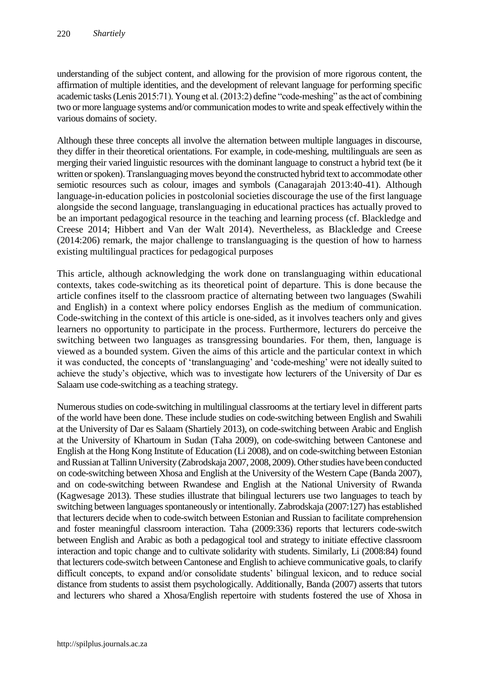understanding of the subject content, and allowing for the provision of more rigorous content, the affirmation of multiple identities, and the development of relevant language for performing specific academic tasks (Lenis 2015:71). Young et al. (2013:2) define "code-meshing" as the act of combining two or more language systems and/or communication modes to write and speak effectively within the various domains of society.

Although these three concepts all involve the alternation between multiple languages in discourse, they differ in their theoretical orientations. For example, in code-meshing, multilinguals are seen as merging their varied linguistic resources with the dominant language to construct a hybrid text (be it written or spoken). Translanguaging moves beyond the constructed hybrid text to accommodate other semiotic resources such as colour, images and symbols (Canagarajah 2013:40-41). Although language-in-education policies in postcolonial societies discourage the use of the first language alongside the second language, translanguaging in educational practices has actually proved to be an important pedagogical resource in the teaching and learning process (cf. Blackledge and Creese 2014; Hibbert and Van der Walt 2014). Nevertheless, as Blackledge and Creese (2014:206) remark, the major challenge to translanguaging is the question of how to harness existing multilingual practices for pedagogical purposes

This article, although acknowledging the work done on translanguaging within educational contexts, takes code-switching as its theoretical point of departure. This is done because the article confines itself to the classroom practice of alternating between two languages (Swahili and English) in a context where policy endorses English as the medium of communication. Code-switching in the context of this article is one-sided, as it involves teachers only and gives learners no opportunity to participate in the process. Furthermore, lecturers do perceive the switching between two languages as transgressing boundaries. For them, then, language is viewed as a bounded system. Given the aims of this article and the particular context in which it was conducted, the concepts of 'translanguaging' and 'code-meshing' were not ideally suited to achieve the study's objective, which was to investigate how lecturers of the University of Dar es Salaam use code-switching as a teaching strategy.

Numerous studies on code-switching in multilingual classrooms at the tertiary level in different parts of the world have been done. These include studies on code-switching between English and Swahili at the University of Dar es Salaam (Shartiely 2013), on code-switching between Arabic and English at the University of Khartoum in Sudan (Taha 2009), on code-switching between Cantonese and English at the Hong Kong Institute of Education (Li 2008), and on code-switching between Estonian and Russian at Tallinn University (Zabrodskaja 2007, 2008, 2009). Other studies have been conducted on code-switching between Xhosa and English at the University of the Western Cape (Banda 2007), and on code-switching between Rwandese and English at the National University of Rwanda (Kagwesage 2013). These studies illustrate that bilingual lecturers use two languages to teach by switching between languages spontaneously or intentionally. Zabrodskaja (2007:127) has established that lecturers decide when to code-switch between Estonian and Russian to facilitate comprehension and foster meaningful classroom interaction. Taha (2009:336) reports that lecturers code-switch between English and Arabic as both a pedagogical tool and strategy to initiate effective classroom interaction and topic change and to cultivate solidarity with students. Similarly, Li (2008:84) found that lecturers code-switch between Cantonese and English to achieve communicative goals, to clarify difficult concepts, to expand and/or consolidate students' bilingual lexicon, and to reduce social distance from students to assist them psychologically. Additionally, Banda (2007) asserts that tutors and lecturers who shared a Xhosa/English repertoire with students fostered the use of Xhosa in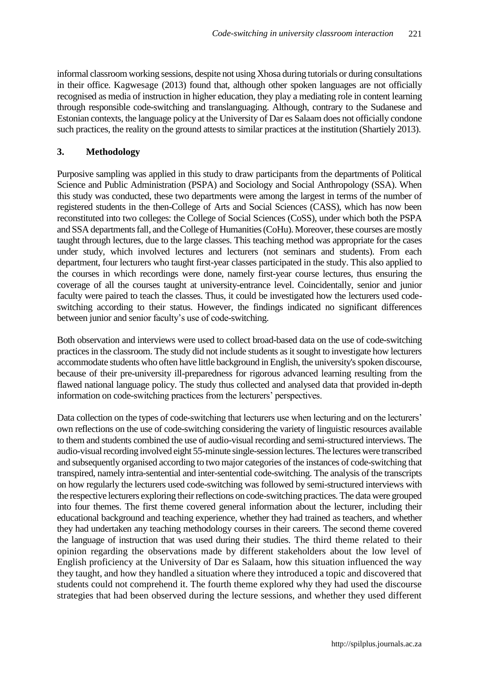informal classroom working sessions, despite not using Xhosa during tutorials or during consultations in their office. Kagwesage (2013) found that, although other spoken languages are not officially recognised as media of instruction in higher education, they play a mediating role in content learning through responsible code-switching and translanguaging. Although, contrary to the Sudanese and Estonian contexts, the language policy at the University of Dar es Salaam does not officially condone such practices, the reality on the ground attests to similar practices at the institution (Shartiely 2013).

# **3. Methodology**

Purposive sampling was applied in this study to draw participants from the departments of Political Science and Public Administration (PSPA) and Sociology and Social Anthropology (SSA). When this study was conducted, these two departments were among the largest in terms of the number of registered students in the then-College of Arts and Social Sciences (CASS), which has now been reconstituted into two colleges: the College of Social Sciences (CoSS), under which both the PSPA and SSA departments fall, and the College of Humanities (CoHu). Moreover, these courses are mostly taught through lectures, due to the large classes. This teaching method was appropriate for the cases under study, which involved lectures and lecturers (not seminars and students). From each department, four lecturers who taught first-year classes participated in the study. This also applied to the courses in which recordings were done, namely first-year course lectures, thus ensuring the coverage of all the courses taught at university-entrance level. Coincidentally, senior and junior faculty were paired to teach the classes. Thus, it could be investigated how the lecturers used codeswitching according to their status. However, the findings indicated no significant differences between junior and senior faculty's use of code-switching.

Both observation and interviews were used to collect broad-based data on the use of code-switching practices in the classroom. The study did not include students as it sought to investigate how lecturers accommodate students who often have little background in English, the university's spoken discourse, because of their pre-university ill-preparedness for rigorous advanced learning resulting from the flawed national language policy. The study thus collected and analysed data that provided in-depth information on code-switching practices from the lecturers' perspectives.

Data collection on the types of code-switching that lecturers use when lecturing and on the lecturers' own reflections on the use of code-switching considering the variety of linguistic resources available to them and students combined the use of audio-visual recording and semi-structured interviews. The audio-visual recording involved eight 55-minute single-session lectures. The lectures were transcribed and subsequently organised according to two major categories of the instances of code-switching that transpired, namely intra-sentential and inter-sentential code-switching. The analysis of the transcripts on how regularly the lecturers used code-switching was followed by semi-structured interviews with the respective lecturers exploring their reflections on code-switching practices. The data were grouped into four themes. The first theme covered general information about the lecturer, including their educational background and teaching experience, whether they had trained as teachers, and whether they had undertaken any teaching methodology courses in their careers. The second theme covered the language of instruction that was used during their studies. The third theme related to their opinion regarding the observations made by different stakeholders about the low level of English proficiency at the University of Dar es Salaam, how this situation influenced the way they taught, and how they handled a situation where they introduced a topic and discovered that students could not comprehend it. The fourth theme explored why they had used the discourse strategies that had been observed during the lecture sessions, and whether they used different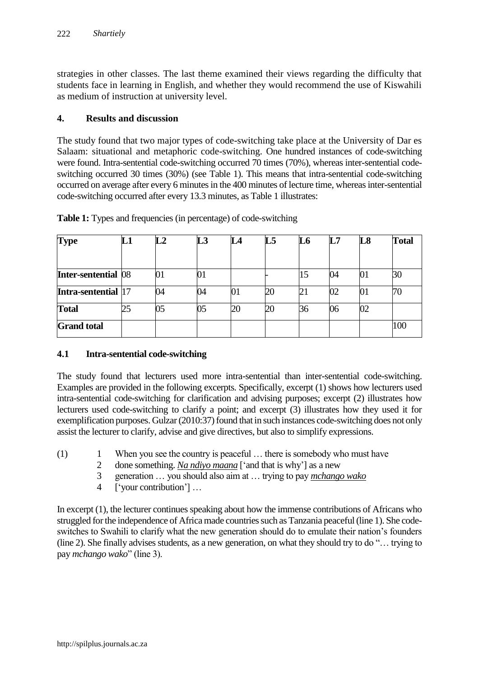strategies in other classes. The last theme examined their views regarding the difficulty that students face in learning in English, and whether they would recommend the use of Kiswahili as medium of instruction at university level.

#### **4. Results and discussion**

The study found that two major types of code-switching take place at the University of Dar es Salaam: situational and metaphoric code-switching. One hundred instances of code-switching were found. Intra-sentential code-switching occurred 70 times (70%), whereas inter-sentential codeswitching occurred 30 times (30%) (see Table 1). This means that intra-sentential code-switching occurred on average after every 6 minutes in the 400 minutes of lecture time, whereas inter-sentential code-switching occurred after every 13.3 minutes, as Table 1 illustrates:

| <b>Type</b>         | L1 | $\mathbf{L}2$ | L <sub>3</sub> |    | L5 | L6 | L7 | L8 | <b>Total</b> |
|---------------------|----|---------------|----------------|----|----|----|----|----|--------------|
| Inter-sentential 08 |    |               | UΙ             |    |    |    | 04 | 01 | 30           |
| Intra-sentential 17 |    | 34            | 04             | UI | 20 |    | 02 | 01 | 70           |
| <b>Total</b>        | 25 | 05            | 05             | 20 | 20 | 36 | 06 | 02 |              |
| <b>Grand</b> total  |    |               |                |    |    |    |    |    | 100          |

**Table 1:** Types and frequencies (in percentage) of code-switching

## **4.1 Intra-sentential code-switching**

The study found that lecturers used more intra-sentential than inter-sentential code-switching. Examples are provided in the following excerpts. Specifically, excerpt (1) shows how lecturers used intra-sentential code-switching for clarification and advising purposes; excerpt (2) illustrates how lecturers used code-switching to clarify a point; and excerpt (3) illustrates how they used it for exemplification purposes. Gulzar (2010:37) found that in such instances code-switching does not only assist the lecturer to clarify, advise and give directives, but also to simplify expressions.

- (1) 1 When you see the country is peaceful … there is somebody who must have
	- 2 done something. *Na ndiyo maana* ['and that is why'] as a new
	- 3 generation … you should also aim at … trying to pay *mchango wako*
	- 4 ['your contribution'] …

In excerpt (1), the lecturer continues speaking about how the immense contributions of Africans who struggled for the independence of Africa made countries such as Tanzania peaceful (line 1). She codeswitches to Swahili to clarify what the new generation should do to emulate their nation's founders (line 2). She finally advises students, as a new generation, on what they should try to do "… trying to pay *mchango wako*" (line 3).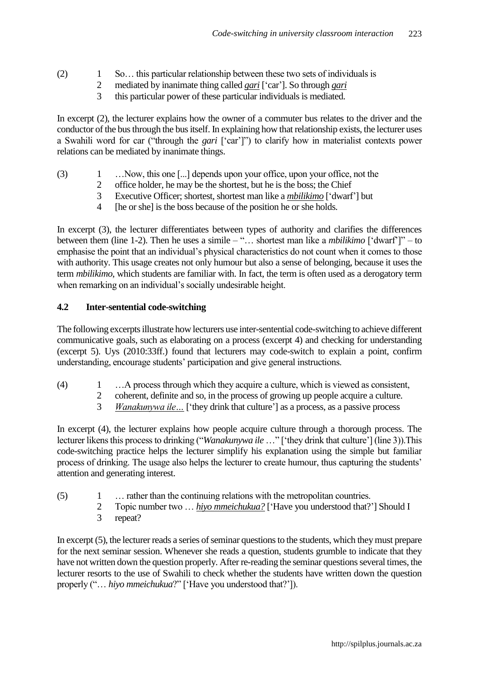- (2) 1 So… this particular relationship between these two sets of individuals is
	- 2 mediated by inanimate thing called *gari* ['car']. So through *gari*
	- 3 this particular power of these particular individuals is mediated.

In excerpt (2), the lecturer explains how the owner of a commuter bus relates to the driver and the conductor of the bus through the bus itself. In explaining how that relationship exists, the lecturer uses a Swahili word for car ("through the *gari* ['car']") to clarify how in materialist contexts power relations can be mediated by inanimate things.

- (3) 1 …Now, this one [...] depends upon your office, upon your office, not the
	- 2 office holder, he may be the shortest, but he is the boss; the Chief
	- 3 Executive Officer; shortest, shortest man like a *mbilikimo* ['dwarf'] but
	- 4 [he or she] is the boss because of the position he or she holds.

In excerpt (3), the lecturer differentiates between types of authority and clarifies the differences between them (line 1-2). Then he uses a simile – "… shortest man like a *mbilikimo* ['dwarf']" – to emphasise the point that an individual's physical characteristics do not count when it comes to those with authority. This usage creates not only humour but also a sense of belonging, because it uses the term *mbilikimo*, which students are familiar with. In fact, the term is often used as a derogatory term when remarking on an individual's socially undesirable height.

#### **4.2 Inter-sentential code-switching**

The following excerpts illustrate how lecturers use inter-sentential code-switching to achieve different communicative goals, such as elaborating on a process (excerpt 4) and checking for understanding (excerpt 5). Uys (2010:33ff.) found that lecturers may code-switch to explain a point, confirm understanding, encourage students' participation and give general instructions.

- (4) 1 …A process through which they acquire a culture, which is viewed as consistent,
	- 2 coherent, definite and so, in the process of growing up people acquire a culture.
	- 3 *Wanakunywa ile…* ['they drink that culture'] as a process, as a passive process

In excerpt (4), the lecturer explains how people acquire culture through a thorough process. The lecturer likens this process to drinking ("*Wanakunywa ile* …" ['they drink that culture'] (line 3)).This code-switching practice helps the lecturer simplify his explanation using the simple but familiar process of drinking. The usage also helps the lecturer to create humour, thus capturing the students' attention and generating interest.

- (5) 1 … rather than the continuing relations with the metropolitan countries.
	- 2 Topic number two … *hiyo mmeichukua?* ['Have you understood that?'] Should I
	- 3 repeat?

In excerpt (5), the lecturer reads a series of seminar questions to the students, which they must prepare for the next seminar session. Whenever she reads a question, students grumble to indicate that they have not written down the question properly. After re-reading the seminar questions several times, the lecturer resorts to the use of Swahili to check whether the students have written down the question properly ("… *hiyo mmeichukua*?" ['Have you understood that?']).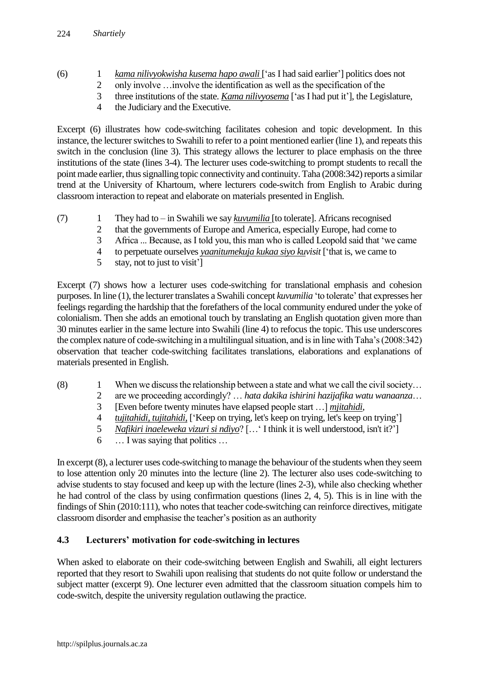- (6) 1 *kama nilivyokwisha kusema hapo awali* ['as I had said earlier'] politics does not
	- 2 only involve …involve the identification as well as the specification of the
	- 3 three institutions of the state. *Kama nilivyosema* ['as I had put it'], the Legislature,
	- 4 the Judiciary and the Executive.

Excerpt (6) illustrates how code-switching facilitates cohesion and topic development. In this instance, the lecturer switches to Swahili to refer to a point mentioned earlier (line 1), and repeats this switch in the conclusion (line 3). This strategy allows the lecturer to place emphasis on the three institutions of the state (lines 3-4). The lecturer uses code-switching to prompt students to recall the point made earlier, thus signalling topic connectivity and continuity. Taha (2008:342) reports a similar trend at the University of Khartoum, where lecturers code-switch from English to Arabic during classroom interaction to repeat and elaborate on materials presented in English.

- (7) 1 They had to in Swahili we say *kuvumilia* [to tolerate]. Africans recognised
	- 2 that the governments of Europe and America, especially Europe, had come to
	- 3 Africa ... Because, as I told you, this man who is called Leopold said that 'we came
	- 4 to perpetuate ourselves *yaanitumekuja kukaa siyo kuvisit* ['that is, we came to
	- 5 stay, not to just to visit']

Excerpt (7) shows how a lecturer uses code-switching for translational emphasis and cohesion purposes. In line (1), the lecturer translates a Swahili concept *kuvumilia* 'to tolerate' that expresses her feelings regarding the hardship that the forefathers of the local community endured under the yoke of colonialism. Then she adds an emotional touch by translating an English quotation given more than 30 minutes earlier in the same lecture into Swahili (line 4) to refocus the topic. This use underscores the complex nature of code-switching in a multilingual situation, and is in line with Taha's (2008:342) observation that teacher code-switching facilitates translations, elaborations and explanations of materials presented in English.

- $(8)$  1 When we discuss the relationship between a state and what we call the civil society...
	- 2 are we proceeding accordingly? … *hata dakika ishirini hazijafika watu wanaanza*…
	- 3 [Even before twenty minutes have elapsed people start …] *mjitahidi*,
	- 4 *tujitahidi, tujitahidi*, ['Keep on trying, let's keep on trying, let's keep on trying']
	- 5 *Nafikiri inaeleweka vizuri si ndiyo*? […' I think it is well understood, isn't it?']
	- 6 … I was saying that politics …

In excerpt (8), a lecturer uses code-switching to manage the behaviour of the students when they seem to lose attention only 20 minutes into the lecture (line 2). The lecturer also uses code-switching to advise students to stay focused and keep up with the lecture (lines 2-3), while also checking whether he had control of the class by using confirmation questions (lines 2, 4, 5). This is in line with the findings of Shin (2010:111), who notes that teacher code-switching can reinforce directives, mitigate classroom disorder and emphasise the teacher's position as an authority

## **4.3 Lecturers' motivation for code-switching in lectures**

When asked to elaborate on their code-switching between English and Swahili, all eight lecturers reported that they resort to Swahili upon realising that students do not quite follow or understand the subject matter (excerpt 9). One lecturer even admitted that the classroom situation compels him to code-switch, despite the university regulation outlawing the practice.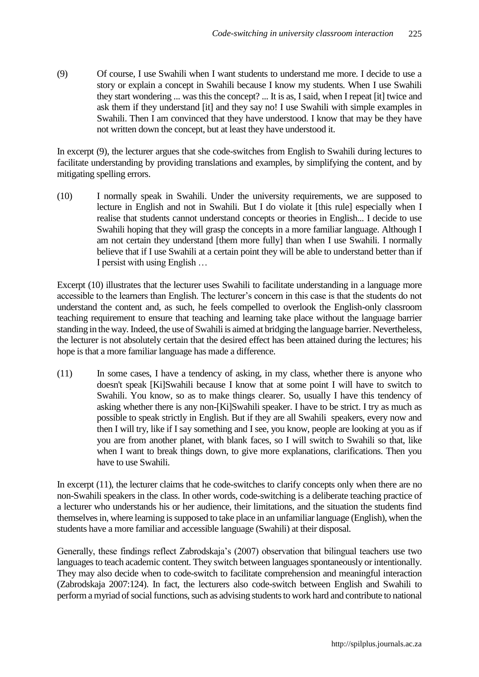(9) Of course, I use Swahili when I want students to understand me more. I decide to use a story or explain a concept in Swahili because I know my students. When I use Swahili they start wondering ... was this the concept? ... It is as, I said, when I repeat [it] twice and ask them if they understand [it] and they say no! I use Swahili with simple examples in Swahili. Then I am convinced that they have understood. I know that may be they have not written down the concept, but at least they have understood it.

In excerpt (9), the lecturer argues that she code-switches from English to Swahili during lectures to facilitate understanding by providing translations and examples, by simplifying the content, and by mitigating spelling errors.

(10) I normally speak in Swahili. Under the university requirements, we are supposed to lecture in English and not in Swahili. But I do violate it [this rule] especially when I realise that students cannot understand concepts or theories in English... I decide to use Swahili hoping that they will grasp the concepts in a more familiar language. Although I am not certain they understand [them more fully] than when I use Swahili. I normally believe that if I use Swahili at a certain point they will be able to understand better than if I persist with using English …

Excerpt (10) illustrates that the lecturer uses Swahili to facilitate understanding in a language more accessible to the learners than English. The lecturer's concern in this case is that the students do not understand the content and, as such, he feels compelled to overlook the English-only classroom teaching requirement to ensure that teaching and learning take place without the language barrier standing in the way. Indeed, the use of Swahili is aimed at bridging the language barrier. Nevertheless, the lecturer is not absolutely certain that the desired effect has been attained during the lectures; his hope is that a more familiar language has made a difference.

(11) In some cases, I have a tendency of asking, in my class, whether there is anyone who doesn't speak [Ki]Swahili because I know that at some point I will have to switch to Swahili. You know, so as to make things clearer. So, usually I have this tendency of asking whether there is any non-[Ki]Swahili speaker. I have to be strict. I try as much as possible to speak strictly in English. But if they are all Swahili speakers, every now and then I will try, like if I say something and I see, you know, people are looking at you as if you are from another planet, with blank faces, so I will switch to Swahili so that, like when I want to break things down, to give more explanations, clarifications. Then you have to use Swahili.

In excerpt (11), the lecturer claims that he code-switches to clarify concepts only when there are no non-Swahili speakers in the class. In other words, code-switching is a deliberate teaching practice of a lecturer who understands his or her audience, their limitations, and the situation the students find themselves in, where learning is supposed to take place in an unfamiliar language (English), when the students have a more familiar and accessible language (Swahili) at their disposal.

Generally, these findings reflect Zabrodskaja's (2007) observation that bilingual teachers use two languages to teach academic content. They switch between languages spontaneously or intentionally. They may also decide when to code-switch to facilitate comprehension and meaningful interaction [\(Zabrodskaja 2007:124\).](../../../moostendorp/AppData/Local/Temp/AppData/Local/Temp/embyaa/AppData/user/Documents%20and%20Settings/ca5/Local%20Settings/Temporary%20Internet%20Files/Content.Outlook/2ETV8SHT/Bibliography(Final%20fro%20m) In fact, the lecturers also code-switch between English and Swahili to perform a myriad of social functions, such as advising students to work hard and contribute to national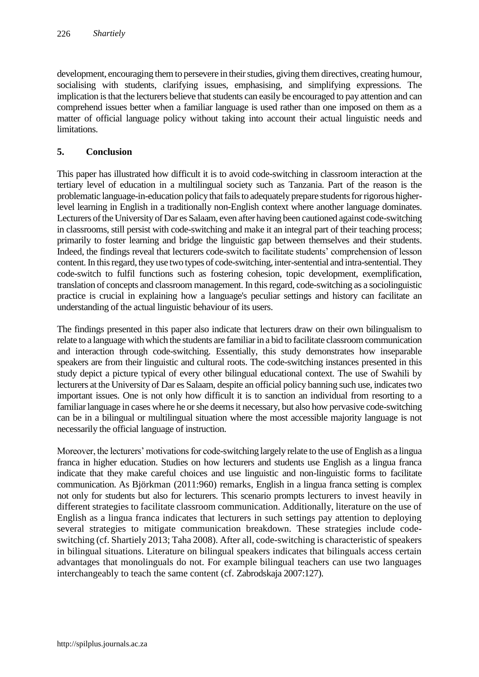development, encouraging them to persevere in their studies, giving them directives, creating humour, socialising with students, clarifying issues, emphasising, and simplifying expressions. The implication is that the lecturers believe that students can easily be encouraged to pay attention and can comprehend issues better when a familiar language is used rather than one imposed on them as a matter of official language policy without taking into account their actual linguistic needs and **limitations** 

## **5. Conclusion**

This paper has illustrated how difficult it is to avoid code-switching in classroom interaction at the tertiary level of education in a multilingual society such as Tanzania. Part of the reason is the problematic language-in-education policy that fails to adequately prepare students for rigorous higherlevel learning in English in a traditionally non-English context where another language dominates. Lecturers of the University of Dar es Salaam, even after having been cautioned against code-switching in classrooms, still persist with code-switching and make it an integral part of their teaching process; primarily to foster learning and bridge the linguistic gap between themselves and their students. Indeed, the findings reveal that lecturers code-switch to facilitate students' comprehension of lesson content. In this regard, they use two types of code-switching, inter-sentential and intra-sentential. They code-switch to fulfil functions such as fostering cohesion, topic development, exemplification, translation of concepts and classroom management. In this regard, code-switching as a sociolinguistic practice is crucial in explaining how a language's peculiar settings and history can facilitate an understanding of the actual linguistic behaviour of its users.

The findings presented in this paper also indicate that lecturers draw on their own bilingualism to relate to a language with which the students are familiar in a bid to facilitate classroom communication and interaction through code-switching. Essentially, this study demonstrates how inseparable speakers are from their linguistic and cultural roots. The code-switching instances presented in this study depict a picture typical of every other bilingual educational context. The use of Swahili by lecturers at the University of Dar es Salaam, despite an official policy banning such use, indicates two important issues. One is not only how difficult it is to sanction an individual from resorting to a familiar language in cases where he or she deems it necessary, but also how pervasive code-switching can be in a bilingual or multilingual situation where the most accessible majority language is not necessarily the official language of instruction.

Moreover, the lecturers' motivations for code-switching largely relate to the use of English as a lingua franca in higher education. Studies on how lecturers and students use English as a lingua franca indicate that they make careful choices and use linguistic and non-linguistic forms to facilitate communication. As Björkman (2011:960) remarks, English in a lingua franca setting is complex not only for students but also for lecturers. This scenario prompts lecturers to invest heavily in different strategies to facilitate classroom communication. Additionally, literature on the use of English as a lingua franca indicates that lecturers in such settings pay attention to deploying several strategies to mitigate communication breakdown. These strategies include codeswitching (cf. Shartiely 2013; Taha 2008). After all, code-switching is characteristic of speakers in bilingual situations. Literature on bilingual speakers indicates that bilinguals access certain advantages that monolinguals do not. For example bilingual teachers can use two languages interchangeably to teach the same content (cf. Zabrodskaja 2007:127).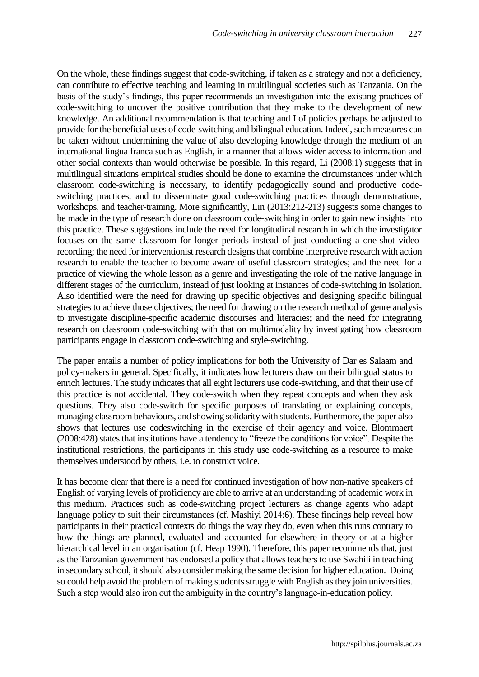On the whole, these findings suggest that code-switching, if taken as a strategy and not a deficiency, can contribute to effective teaching and learning in multilingual societies such as Tanzania. On the basis of the study's findings, this paper recommends an investigation into the existing practices of code-switching to uncover the positive contribution that they make to the development of new knowledge. An additional recommendation is that teaching and LoI policies perhaps be adjusted to provide for the beneficial uses of code-switching and bilingual education. Indeed, such measures can be taken without undermining the value of also developing knowledge through the medium of an international lingua franca such as English, in a manner that allows wider access to information and other social contexts than would otherwise be possible. In this regard, Li (2008:1) suggests that in multilingual situations empirical studies should be done to examine the circumstances under which classroom code-switching is necessary, to identify pedagogically sound and productive codeswitching practices, and to disseminate good code-switching practices through demonstrations, workshops, and teacher-training. More significantly, Lin (2013:212-213) suggests some changes to be made in the type of research done on classroom code-switching in order to gain new insights into this practice. These suggestions include the need for longitudinal research in which the investigator focuses on the same classroom for longer periods instead of just conducting a one-shot videorecording; the need for interventionist research designs that combine interpretive research with action research to enable the teacher to become aware of useful classroom strategies; and the need for a practice of viewing the whole lesson as a genre and investigating the role of the native language in different stages of the curriculum, instead of just looking at instances of code-switching in isolation. Also identified were the need for drawing up specific objectives and designing specific bilingual strategies to achieve those objectives; the need for drawing on the research method of genre analysis to investigate discipline-specific academic discourses and literacies; and the need for integrating research on classroom code-switching with that on multimodality by investigating how classroom participants engage in classroom code-switching and style-switching.

The paper entails a number of policy implications for both the University of Dar es Salaam and policy-makers in general. Specifically, it indicates how lecturers draw on their bilingual status to enrich lectures. The study indicates that all eight lecturers use code-switching, and that their use of this practice is not accidental. They code-switch when they repeat concepts and when they ask questions. They also code-switch for specific purposes of translating or explaining concepts, managing classroom behaviours, and showing solidarity with students. Furthermore, the paper also shows that lectures use codeswitching in the exercise of their agency and voice. Blommaert (2008:428) states that institutions have a tendency to "freeze the conditions for voice". Despite the institutional restrictions, the participants in this study use code-switching as a resource to make themselves understood by others, i.e. to construct voice.

It has become clear that there is a need for continued investigation of how non-native speakers of English of varying levels of proficiency are able to arrive at an understanding of academic work in this medium. Practices such as code-switching project lecturers as change agents who adapt language policy to suit their circumstances (cf. Mashiyi 2014:6). These findings help reveal how participants in their practical contexts do things the way they do, even when this runs contrary to how the things are planned, evaluated and accounted for elsewhere in theory or at a higher hierarchical level in an organisation (cf. Heap 1990). Therefore, this paper recommends that, just as the Tanzanian government has endorsed a policy that allows teachers to use Swahili in teaching in secondary school, it should also consider making the same decision for higher education. Doing so could help avoid the problem of making students struggle with English as they join universities. Such a step would also iron out the ambiguity in the country's language-in-education policy.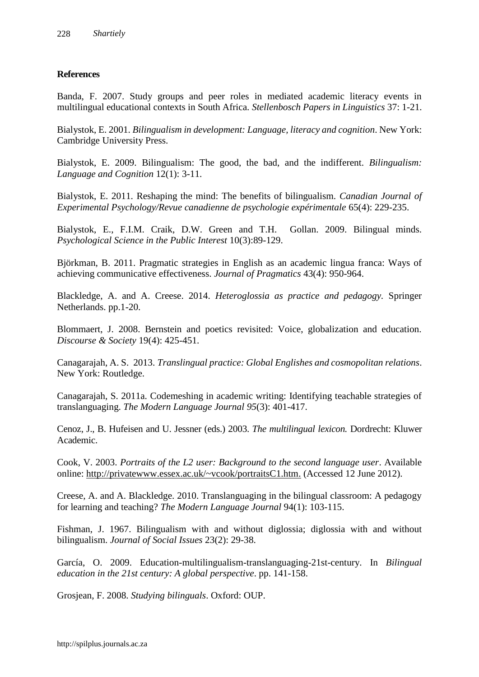## **References**

Banda, F. 2007. Study groups and peer roles in mediated academic literacy events in multilingual educational contexts in South Africa. *Stellenbosch Papers in Linguistics* 37: 1-21.

Bialystok, E. 2001. *Bilingualism in development: Language, literacy and cognition*. New York: Cambridge University Press.

Bialystok, E. 2009. Bilingualism: The good, the bad, and the indifferent. *Bilingualism: Language and Cognition* 12(1): 3-11.

Bialystok, E. 2011. Reshaping the mind: The benefits of bilingualism. *Canadian Journal of Experimental Psychology/Revue canadienne de psychologie expérimentale* 65(4): 229-235.

Bialystok, E., F.I.M. Craik, D.W. Green and T.H. Gollan. 2009. Bilingual minds. *Psychological Science in the Public Interest* 10(3):89-129.

Björkman, B. 2011. Pragmatic strategies in English as an academic lingua franca: Ways of achieving communicative effectiveness. *Journal of Pragmatics* 43(4): 950-964.

Blackledge, A. and A. Creese. 2014. *Heteroglossia as practice and pedagogy.* Springer Netherlands. pp.1-20.

Blommaert, J. 2008. Bernstein and poetics revisited: Voice, globalization and education. *Discourse & Society* 19(4): 425-451.

Canagarajah, A. S. 2013. *Translingual practice: Global Englishes and cosmopolitan relations*. New York: Routledge.

Canagarajah, S. 2011a. Codemeshing in academic writing: Identifying teachable strategies of translanguaging. *The Modern Language Journal 95*(3): 401-417.

Cenoz, J., B. Hufeisen and U. Jessner (eds.) 2003. *The multilingual lexicon.* Dordrecht: Kluwer Academic.

Cook, V. 2003. *Portraits of the L2 user: Background to the second language user*. Available online: [http://privatewww.essex.ac.uk/~vcook/portraitsC1.htm.](http://privatewww.essex.ac.uk/~vcook/portraitsC1.htm) (Accessed 12 June 2012).

Creese, A. and A. Blackledge. 2010. Translanguaging in the bilingual classroom: A pedagogy for learning and teaching? *The Modern Language Journal* 94(1): 103-115.

Fishman, J. 1967. Bilingualism with and without diglossia; diglossia with and without bilingualism. *Journal of Social Issues* 23(2): 29-38.

García, O. 2009. Education-multilingualism-translanguaging-21st-century. In *Bilingual education in the 21st century: A global perspective*. pp. 141-158.

Grosjean, F. 2008. *Studying bilinguals*. Oxford: OUP.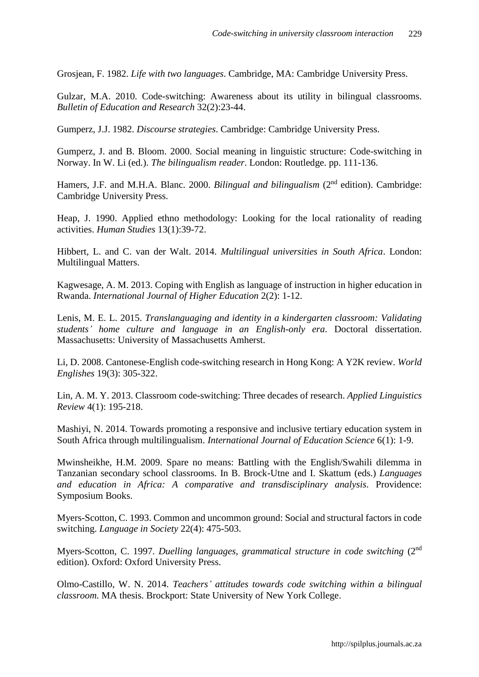Grosjean, F. 1982. *Life with two languages*. Cambridge, MA: Cambridge University Press.

Gulzar, M.A. 2010. Code-switching: Awareness about its utility in bilingual classrooms. *Bulletin of Education and Research* 32(2):23-44.

Gumperz, J.J. 1982. *Discourse strategies*. Cambridge: Cambridge University Press.

Gumperz, J. and B. Bloom. 2000. Social meaning in linguistic structure: Code-switching in Norway. In W. Li (ed.). *The bilingualism reader*. London: Routledge. pp. 111-136.

Hamers, J.F. and M.H.A. Blanc. 2000. *Bilingual and bilingualism* (2<sup>nd</sup> edition). Cambridge: Cambridge University Press.

Heap, J. 1990. Applied ethno methodology: Looking for the local rationality of reading activities. *Human Studies* 13(1):39-72.

Hibbert, L. and C. van der Walt. 2014. *Multilingual universities in South Africa*. London: Multilingual Matters.

Kagwesage, A. M. 2013. Coping with English as language of instruction in higher education in Rwanda. *International Journal of Higher Education* 2(2): 1-12.

Lenis, M. E. L. 2015. *Translanguaging and identity in a kindergarten classroom: Validating students' home culture and language in an English-only era*. Doctoral dissertation. Massachusetts: University of Massachusetts Amherst.

Li, D. 2008. Cantonese-English code-switching research in Hong Kong: A Y2K review. *World Englishes* 19(3): 305-322.

Lin, A. M. Y. 2013. Classroom code-switching: Three decades of research. *Applied Linguistics Review* 4(1): 195-218.

Mashiyi, N. 2014. Towards promoting a responsive and inclusive tertiary education system in South Africa through multilingualism. *International Journal of Education Science* 6(1): 1-9.

Mwinsheikhe, H.M. 2009. Spare no means: Battling with the English/Swahili dilemma in Tanzanian secondary school classrooms. In B. Brock-Utne and I. Skattum (eds.) *Languages and education in Africa: A comparative and transdisciplinary analysis*. Providence: Symposium Books.

Myers-Scotton, C. 1993. Common and uncommon ground: Social and structural factors in code switching. *Language in Society* 22(4): 475-503.

Myers-Scotton, C. 1997. *Duelling languages, grammatical structure in code switching* (2nd edition). Oxford: Oxford University Press.

Olmo-Castillo, W. N. 2014. *Teachers' attitudes towards code switching within a bilingual classroom.* MA thesis. Brockport: State University of New York College.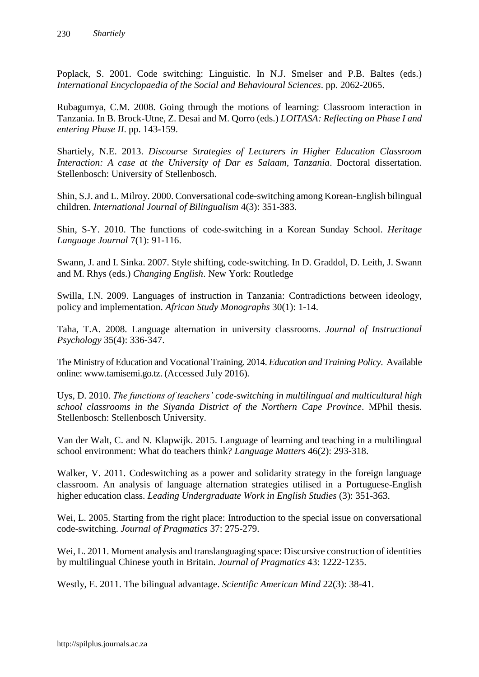Poplack, S. 2001. Code switching: Linguistic. In N.J. Smelser and P.B. Baltes (eds.) *International Encyclopaedia of the Social and Behavioural Sciences*. pp. 2062-2065.

Rubagumya, C.M. 2008. Going through the motions of learning: Classroom interaction in Tanzania. In B. Brock-Utne, Z. Desai and M. Qorro (eds.) *LOITASA: Reflecting on Phase I and entering Phase II*. pp. 143-159.

Shartiely, N.E. 2013. *Discourse Strategies of Lecturers in Higher Education Classroom Interaction: A case at the University of Dar es Salaam, Tanzania*. Doctoral dissertation. Stellenbosch: University of Stellenbosch.

Shin, S.J. and L. Milroy. 2000. Conversational code-switching among Korean-English bilingual children. *International Journal of Bilingualism* 4(3): 351-383.

Shin, S-Y. 2010. The functions of code-switching in a Korean Sunday School. *Heritage Language Journal* 7(1): 91-116.

Swann, J. and I. Sinka. 2007. Style shifting, code-switching. In D. Graddol, D. Leith, J. Swann and M. Rhys (eds.) *Changing English*. New York: Routledge

Swilla, I.N. 2009. Languages of instruction in Tanzania: Contradictions between ideology, policy and implementation. *African Study Monographs* 30(1): 1-14.

Taha, T.A. 2008. Language alternation in university classrooms. *Journal of Instructional Psychology* 35(4): 336-347.

The Ministry of Education and Vocational Training. 2014. *Education and Training Policy*. Available online: [www.tamisemi.go.tz.](http://www.tamisemi.go.tz/) (Accessed July 2016).

Uys, D. 2010. *The functions of teachers' code-switching in multilingual and multicultural high school classrooms in the Siyanda District of the Northern Cape Province*. MPhil thesis. Stellenbosch: Stellenbosch University.

Van der Walt, C. and N. Klapwijk. 2015. Language of learning and teaching in a multilingual school environment: What do teachers think? *Language Matters* 46(2): 293-318.

Walker, V. 2011. Codeswitching as a power and solidarity strategy in the foreign language classroom. An analysis of language alternation strategies utilised in a Portuguese-English higher education class. *Leading Undergraduate Work in English Studies* (3): 351-363.

Wei, L. 2005. Starting from the right place: Introduction to the special issue on conversational code-switching. *Journal of Pragmatics* 37: 275-279.

Wei, L. 2011. Moment analysis and translanguaging space: Discursive construction of identities by multilingual Chinese youth in Britain. *Journal of Pragmatics* 43: 1222-1235.

Westly, E. 2011. The bilingual advantage. *Scientific American Mind* 22(3): 38-41.